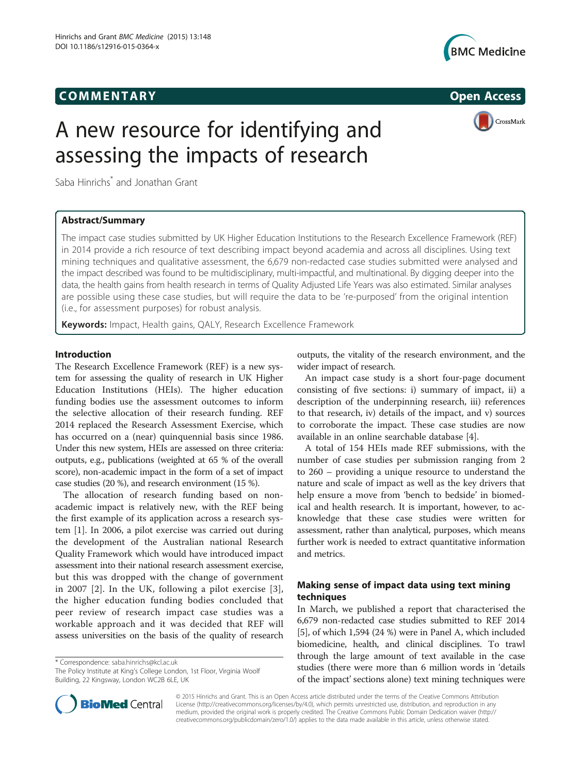# COMM EN TARY Open Access



CrossMark

# A new resource for identifying and assessing the impacts of research

Saba Hinrichs<sup>\*</sup> and Jonathan Grant

## Abstract/Summary

The impact case studies submitted by UK Higher Education Institutions to the Research Excellence Framework (REF) in 2014 provide a rich resource of text describing impact beyond academia and across all disciplines. Using text mining techniques and qualitative assessment, the 6,679 non-redacted case studies submitted were analysed and the impact described was found to be multidisciplinary, multi-impactful, and multinational. By digging deeper into the data, the health gains from health research in terms of Quality Adjusted Life Years was also estimated. Similar analyses are possible using these case studies, but will require the data to be 're-purposed' from the original intention (i.e., for assessment purposes) for robust analysis.

Keywords: Impact, Health gains, QALY, Research Excellence Framework

#### Introduction

The Research Excellence Framework (REF) is a new system for assessing the quality of research in UK Higher Education Institutions (HEIs). The higher education funding bodies use the assessment outcomes to inform the selective allocation of their research funding. REF 2014 replaced the Research Assessment Exercise, which has occurred on a (near) quinquennial basis since 1986. Under this new system, HEIs are assessed on three criteria: outputs, e.g., publications (weighted at 65 % of the overall score), non-academic impact in the form of a set of impact case studies (20 %), and research environment (15 %).

The allocation of research funding based on nonacademic impact is relatively new, with the REF being the first example of its application across a research system [\[1\]](#page-2-0). In 2006, a pilot exercise was carried out during the development of the Australian national Research Quality Framework which would have introduced impact assessment into their national research assessment exercise, but this was dropped with the change of government in 2007 [[2\]](#page-2-0). In the UK, following a pilot exercise [[3](#page-2-0)], the higher education funding bodies concluded that peer review of research impact case studies was a workable approach and it was decided that REF will assess universities on the basis of the quality of research

\* Correspondence: [saba.hinrichs@kcl.ac.uk](mailto:saba.hinrichs@kcl.ac.uk)

The Policy Institute at King's College London, 1st Floor, Virginia Woolf Building, 22 Kingsway, London WC2B 6LE, UK



An impact case study is a short four-page document consisting of five sections: i) summary of impact, ii) a description of the underpinning research, iii) references to that research, iv) details of the impact, and v) sources to corroborate the impact. These case studies are now available in an online searchable database [[4\]](#page-2-0).

A total of 154 HEIs made REF submissions, with the number of case studies per submission ranging from 2 to 260 – providing a unique resource to understand the nature and scale of impact as well as the key drivers that help ensure a move from 'bench to bedside' in biomedical and health research. It is important, however, to acknowledge that these case studies were written for assessment, rather than analytical, purposes, which means further work is needed to extract quantitative information and metrics.

# Making sense of impact data using text mining techniques

In March, we published a report that characterised the 6,679 non-redacted case studies submitted to REF 2014 [[5\]](#page-2-0), of which 1,594 (24 %) were in Panel A, which included biomedicine, health, and clinical disciplines. To trawl through the large amount of text available in the case studies (there were more than 6 million words in 'details of the impact' sections alone) text mining techniques were



© 2015 Hinrichs and Grant. This is an Open Access article distributed under the terms of the Creative Commons Attribution License (<http://creativecommons.org/licenses/by/4.0>), which permits unrestricted use, distribution, and reproduction in any medium, provided the original work is properly credited. The Creative Commons Public Domain Dedication waiver [\(http://](http://creativecommons.org/publicdomain/zero/1.0/) [creativecommons.org/publicdomain/zero/1.0/\)](http://creativecommons.org/publicdomain/zero/1.0/) applies to the data made available in this article, unless otherwise stated.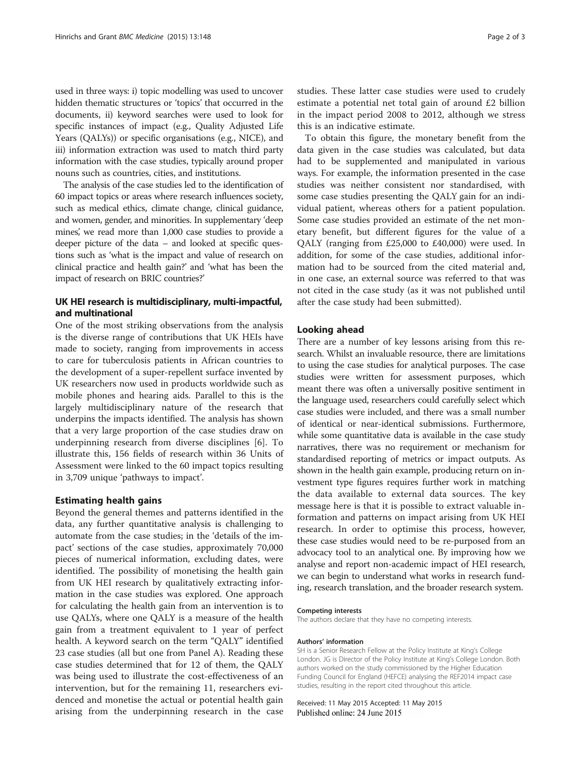used in three ways: i) topic modelling was used to uncover hidden thematic structures or 'topics' that occurred in the documents, ii) keyword searches were used to look for specific instances of impact (e.g., Quality Adjusted Life Years (QALYs)) or specific organisations (e.g., NICE), and iii) information extraction was used to match third party information with the case studies, typically around proper nouns such as countries, cities, and institutions.

The analysis of the case studies led to the identification of 60 impact topics or areas where research influences society, such as medical ethics, climate change, clinical guidance, and women, gender, and minorities. In supplementary 'deep mines, we read more than 1,000 case studies to provide a deeper picture of the data – and looked at specific questions such as 'what is the impact and value of research on clinical practice and health gain?' and 'what has been the impact of research on BRIC countries?'

### UK HEI research is multidisciplinary, multi-impactful, and multinational

One of the most striking observations from the analysis is the diverse range of contributions that UK HEIs have made to society, ranging from improvements in access to care for tuberculosis patients in African countries to the development of a super-repellent surface invented by UK researchers now used in products worldwide such as mobile phones and hearing aids. Parallel to this is the largely multidisciplinary nature of the research that underpins the impacts identified. The analysis has shown that a very large proportion of the case studies draw on underpinning research from diverse disciplines [[6\]](#page-2-0). To illustrate this, 156 fields of research within 36 Units of Assessment were linked to the 60 impact topics resulting in 3,709 unique 'pathways to impact'.

#### Estimating health gains

Beyond the general themes and patterns identified in the data, any further quantitative analysis is challenging to automate from the case studies; in the 'details of the impact' sections of the case studies, approximately 70,000 pieces of numerical information, excluding dates, were identified. The possibility of monetising the health gain from UK HEI research by qualitatively extracting information in the case studies was explored. One approach for calculating the health gain from an intervention is to use QALYs, where one QALY is a measure of the health gain from a treatment equivalent to 1 year of perfect health. A keyword search on the term "QALY" identified 23 case studies (all but one from Panel A). Reading these case studies determined that for 12 of them, the QALY was being used to illustrate the cost-effectiveness of an intervention, but for the remaining 11, researchers evidenced and monetise the actual or potential health gain arising from the underpinning research in the case

studies. These latter case studies were used to crudely estimate a potential net total gain of around £2 billion in the impact period 2008 to 2012, although we stress this is an indicative estimate.

To obtain this figure, the monetary benefit from the data given in the case studies was calculated, but data had to be supplemented and manipulated in various ways. For example, the information presented in the case studies was neither consistent nor standardised, with some case studies presenting the QALY gain for an individual patient, whereas others for a patient population. Some case studies provided an estimate of the net monetary benefit, but different figures for the value of a QALY (ranging from £25,000 to £40,000) were used. In addition, for some of the case studies, additional information had to be sourced from the cited material and, in one case, an external source was referred to that was not cited in the case study (as it was not published until after the case study had been submitted).

#### Looking ahead

There are a number of key lessons arising from this research. Whilst an invaluable resource, there are limitations to using the case studies for analytical purposes. The case studies were written for assessment purposes, which meant there was often a universally positive sentiment in the language used, researchers could carefully select which case studies were included, and there was a small number of identical or near-identical submissions. Furthermore, while some quantitative data is available in the case study narratives, there was no requirement or mechanism for standardised reporting of metrics or impact outputs. As shown in the health gain example, producing return on investment type figures requires further work in matching the data available to external data sources. The key message here is that it is possible to extract valuable information and patterns on impact arising from UK HEI research. In order to optimise this process, however, these case studies would need to be re-purposed from an advocacy tool to an analytical one. By improving how we analyse and report non-academic impact of HEI research, we can begin to understand what works in research funding, research translation, and the broader research system.

#### Competing interests

The authors declare that they have no competing interests.

#### Authors' information

SH is a Senior Research Fellow at the Policy Institute at King's College London. JG is Director of the Policy Institute at King's College London. Both authors worked on the study commissioned by the Higher Education Funding Council for England (HEFCE) analysing the REF2014 impact case studies, resulting in the report cited throughout this article.

Received: 11 May 2015 Accepted: 11 May 2015 Published online: 24 June 2015